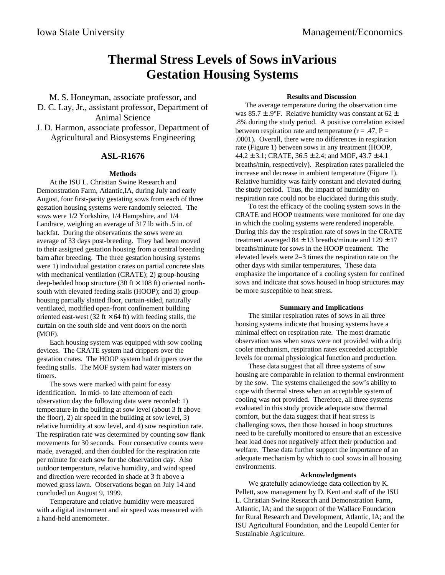# **Thermal Stress Levels of Sows inVarious Gestation Housing Systems**

M. S. Honeyman, associate professor, and D. C. Lay, Jr., assistant professor, Department of Animal Science

J. D. Harmon, associate professor, Department of Agricultural and Biosystems Engineering

## **ASL-R1676**

### **Methods**

At the ISU L. Christian Swine Research and Demonstration Farm, Atlantic,IA, during July and early August, four first-parity gestating sows from each of three gestation housing systems were randomly selected. The sows were 1/2 Yorkshire, 1/4 Hampshire, and 1/4 Landrace, weighing an average of 317 lb with .5 in. of backfat. During the observations the sows were an average of 33 days post-breeding. They had been moved to their assigned gestation housing from a central breeding barn after breeding. The three gestation housing systems were 1) individual gestation crates on partial concrete slats with mechanical ventilation (CRATE); 2) group-housing deep-bedded hoop structure (30 ft  $\times$  108 ft) oriented northsouth with elevated feeding stalls (HOOP); and 3) grouphousing partially slatted floor, curtain-sided, naturally ventilated, modified open-front confinement building oriented east-west (32 ft  $\times$  64 ft) with feeding stalls, the curtain on the south side and vent doors on the north (MOF).

Each housing system was equipped with sow cooling devices. The CRATE system had drippers over the gestation crates. The HOOP system had drippers over the feeding stalls. The MOF system had water misters on timers.

The sows were marked with paint for easy identification. In mid- to late afternoon of each observation day the following data were recorded: 1) temperature in the building at sow level (about 3 ft above the floor), 2) air speed in the building at sow level, 3) relative humidity at sow level, and 4) sow respiration rate. The respiration rate was determined by counting sow flank movements for 30 seconds. Four consecutive counts were made, averaged, and then doubled for the respiration rate per minute for each sow for the observation day. Also outdoor temperature, relative humidity, and wind speed and direction were recorded in shade at 3 ft above a mowed grass lawn. Observations began on July 14 and concluded on August 9, 1999.

Temperature and relative humidity were measured with a digital instrument and air speed was measured with a hand-held anemometer.

#### **Results and Discussion**

The average temperature during the observation time was  $85.7 \pm .9$ °F. Relative humidity was constant at  $62 \pm$ .8% during the study period. A positive correlation existed between respiration rate and temperature  $(r = .47, P =$ .0001). Overall, there were no differences in respiration rate (Figure 1) between sows in any treatment (HOOP,  $44.2 \pm 3.1$ ; CRATE,  $36.5 \pm 2.4$ ; and MOF,  $43.7 \pm 4.1$ breaths/min, respectively). Respiration rates paralleled the increase and decrease in ambient temperature (Figure 1). Relative humidity was fairly constant and elevated during the study period. Thus, the impact of humidity on respiration rate could not be elucidated during this study.

To test the efficacy of the cooling system sows in the CRATE and HOOP treatments were monitored for one day in which the cooling systems were rendered inoperable. During this day the respiration rate of sows in the CRATE treatment averaged  $84 \pm 13$  breaths/minute and  $129 \pm 17$ breaths/minute for sows in the HOOP treatment. The elevated levels were 2–3 times the respiration rate on the other days with similar temperatures. These data emphasize the importance of a cooling system for confined sows and indicate that sows housed in hoop structures may be more susceptible to heat stress.

### **Summary and Implications**

The similar respiration rates of sows in all three housing systems indicate that housing systems have a minimal effect on respiration rate. The most dramatic observation was when sows were not provided with a drip cooler mechanism, respiration rates exceeded acceptable levels for normal physiological function and production.

These data suggest that all three systems of sow housing are comparable in relation to thermal environment by the sow. The systems challenged the sow's ability to cope with thermal stress when an acceptable system of cooling was not provided. Therefore, all three systems evaluated in this study provide adequate sow thermal comfort, but the data suggest that if heat stress is challenging sows, then those housed in hoop structures need to be carefully monitored to ensure that an excessive heat load does not negatively affect their production and welfare. These data further support the importance of an adequate mechanism by which to cool sows in all housing environments.

#### **Acknowledgments**

We gratefully acknowledge data collection by K. Pellett, sow management by D. Kent and staff of the ISU L. Christian Swine Research and Demonstration Farm, Atlantic, IA; and the support of the Wallace Foundation for Rural Research and Development, Atlantic, IA; and the ISU Agricultural Foundation, and the Leopold Center for Sustainable Agriculture.